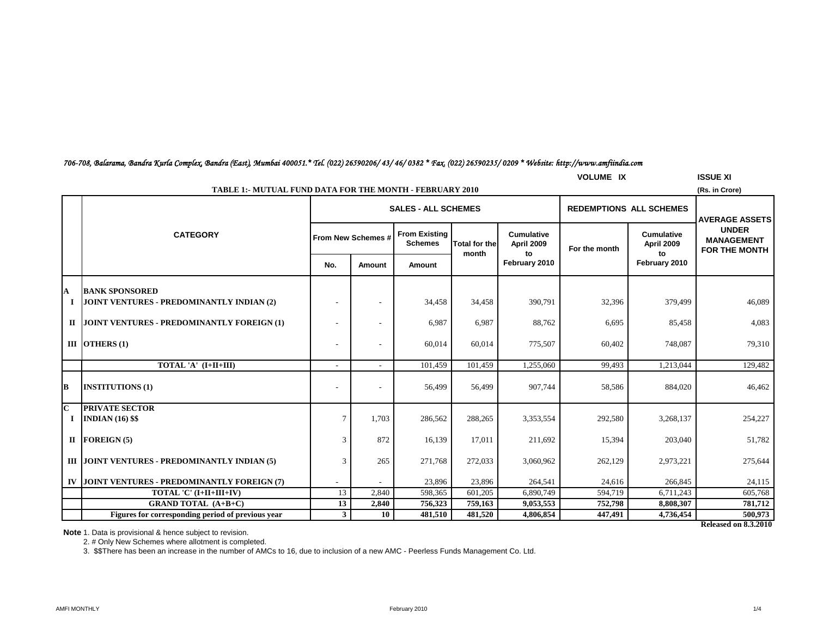**Note** 1. Data is provisional & hence subject to revision.

2. # Only New Schemes where allotment is completed.

3. \$\$There has been an increase in the number of AMCs to 16, due to inclusion of a new AMC - Peerless Funds Management Co. Ltd.

|              |                                                                    | <b>SALES - ALL SCHEMES</b> |                          |                                        |                               |                                       | <b>REDEMPTIONS ALL SCHEMES</b> |                                       | <b>AVERAGE ASSETS</b>                                     |  |
|--------------|--------------------------------------------------------------------|----------------------------|--------------------------|----------------------------------------|-------------------------------|---------------------------------------|--------------------------------|---------------------------------------|-----------------------------------------------------------|--|
|              | <b>CATEGORY</b>                                                    |                            | From New Schemes #       | <b>From Existing</b><br><b>Schemes</b> | <b>Total for the</b><br>month | <b>Cumulative</b><br>April 2009<br>to | For the month                  | <b>Cumulative</b><br>April 2009<br>to | <b>UNDER</b><br><b>MANAGEMENT</b><br><b>FOR THE MONTH</b> |  |
|              |                                                                    | No.                        | Amount                   | Amount                                 |                               | February 2010                         |                                | February 2010                         |                                                           |  |
| A<br>-1      | <b>BANK SPONSORED</b><br>JOINT VENTURES - PREDOMINANTLY INDIAN (2) |                            |                          | 34,458                                 | 34,458                        | 390,791                               | 32,396                         | 379,499                               | 46,089                                                    |  |
|              | II JOINT VENTURES - PREDOMINANTLY FOREIGN (1)                      |                            |                          | 6,987                                  | 6,987                         | 88,762                                | 6,695                          | 85,458                                | 4,083                                                     |  |
|              | III OTHERS $(1)$                                                   |                            |                          | 60,014                                 | 60,014                        | 775,507                               | 60,402                         | 748.087                               | 79,310                                                    |  |
|              | TOTAL 'A' (I+II+III)                                               | $\sim$                     | $\overline{\phantom{a}}$ | 101,459                                | 101,459                       | 1,255,060                             | 99,493                         | 1,213,044                             | 129,482                                                   |  |
| В            | <b>INSTITUTIONS (1)</b>                                            |                            |                          | 56,499                                 | 56.499                        | 907.744                               | 58,586                         | 884,020                               | 46,462                                                    |  |
| $\mathbf{C}$ | <b>PRIVATE SECTOR</b>                                              |                            |                          |                                        |                               |                                       |                                |                                       |                                                           |  |
|              | <b>INDIAN</b> (16) \$\$                                            | $\overline{7}$             | 1,703                    | 286,562                                | 288,265                       | 3,353,554                             | 292,580                        | 3,268,137                             | 254,227                                                   |  |
|              | II FOREIGN $(5)$                                                   | 3                          | 872                      | 16,139                                 | 17,011                        | 211,692                               | 15,394                         | 203,040                               | 51,782                                                    |  |
|              | III JOINT VENTURES - PREDOMINANTLY INDIAN (5)                      |                            | 265                      | 271,768                                | 272,033                       | 3,060,962                             | 262,129                        | 2,973,221                             | 275,644                                                   |  |
|              | IV JOINT VENTURES - PREDOMINANTLY FOREIGN (7)                      |                            |                          | 23,896                                 | 23,896                        | 264,541                               | 24,616                         | 266,845                               | 24,115                                                    |  |
|              | TOTAL 'C' (I+II+III+IV)                                            | 13                         | 2,840                    | 598,365                                | 601,205                       | 6,890,749                             | 594,719                        | 6,711,243                             | 605,768                                                   |  |
|              | <b>GRAND TOTAL (A+B+C)</b>                                         | 13                         | 2,840                    | 756,323                                | 759,163                       | 9,053,553                             | 752,798                        | 8,808,307                             | 781,712                                                   |  |
|              | Figures for corresponding period of previous year                  | $\mathbf{3}$               | 10                       | 481,510                                | 481,520                       | 4,806,854                             | 447,491                        | 4,736,454                             | 500,973                                                   |  |

## *706-708, Balarama, Bandra Kurla Complex, Bandra (East), Mumbai 400051.\* Tel. (022) 26590206/ 43/ 46/ 0382 \* Fax. (022) 26590235/ 0209 \* Website: http://www.amfiindia.com*

**TABLE 1:- MUTUAL FUND DATA FOR THE MONTH - FEBRUARY 2010**

AMFI MONTHLY THE STATE STATE STATE STATE STATE STATE STATE STATE STATE STATE STATE STATE STATE STATE STATE STATE STATE STATE STATE STATE STATE STATE STATE STATE STATE STATE STATE STATE STATE STATE STATE STATE STATE STATE S

**Released on 8.3.2010**

**VOLUME IX ISSUE XI**

**(Rs. in Crore)**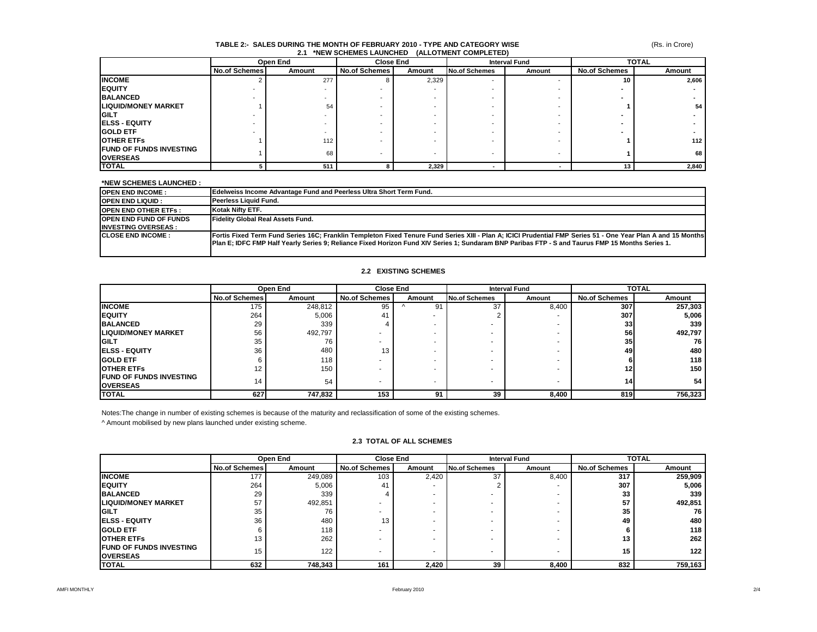#### **TABLE 2:- SALES DURING THE MONTH OF FEBRUARY 2010 - TYPE AND CATEGORY WISE 2.1 \*NEW SCHEMES LAUNCHED (ALLOTMENT COMPLETED)**

(Rs. in Crore)

|                                 | Open End             |        | <b>Close End</b> |        | <b>Interval Fund</b> |        | <b>TOTAL</b>         |        |
|---------------------------------|----------------------|--------|------------------|--------|----------------------|--------|----------------------|--------|
|                                 | <b>No.of Schemes</b> | Amount | No.of Schemes    | Amount | <b>No.of Schemes</b> | Amount | <b>No.of Schemes</b> | Amount |
| <b>INCOME</b>                   |                      | 277    |                  | 2,329  | -                    |        | 10                   | 2,606  |
| <b>IEQUITY</b>                  |                      |        |                  |        |                      |        |                      |        |
| <b>BALANCED</b>                 |                      |        |                  |        |                      |        |                      |        |
| <b>LIQUID/MONEY MARKET</b>      |                      | 54     |                  |        |                      |        |                      | 54     |
| <b>IGILT</b>                    |                      |        |                  |        |                      |        |                      |        |
| <b>IELSS - EQUITY</b>           |                      |        |                  |        |                      |        |                      |        |
| <b>GOLD ETF</b>                 |                      |        |                  |        |                      |        |                      |        |
| <b>OTHER ETFS</b>               |                      | 112    |                  |        |                      |        |                      | 112    |
| <b>IFUND OF FUNDS INVESTING</b> |                      | 68     |                  |        | -                    |        |                      | 68     |
| <b>OVERSEAS</b>                 |                      |        |                  |        |                      |        |                      |        |
| <b>TOTAL</b>                    |                      | 511    |                  | 2,329  |                      |        | 13                   | 2,840  |

| *NEW SCHEMES LAUNCHED :                                     |                                                                                                                                                                                                                                                                                                                   |
|-------------------------------------------------------------|-------------------------------------------------------------------------------------------------------------------------------------------------------------------------------------------------------------------------------------------------------------------------------------------------------------------|
| <b>OPEN END INCOME:</b>                                     | Edelweiss Income Advantage Fund and Peerless Ultra Short Term Fund.                                                                                                                                                                                                                                               |
| <b>OPEN END LIQUID :</b>                                    | Peerless Liquid Fund.                                                                                                                                                                                                                                                                                             |
| <b>OPEN END OTHER ETFS :</b>                                | Kotak Nifty ETF.                                                                                                                                                                                                                                                                                                  |
| <b>OPEN END FUND OF FUNDS</b><br><b>INVESTING OVERSEAS:</b> | <b>Fidelity Global Real Assets Fund.</b>                                                                                                                                                                                                                                                                          |
| <b>CLOSE END INCOME:</b>                                    | Fortis Fixed Term Fund Series 16C; Franklin Templeton Fixed Tenure Fund Series XIII - Plan A; ICICI Prudential FMP Series 51 - One Year Plan A and 15 Months<br>[Plan E; IDFC FMP Half Yearly Series 9; Reliance Fixed Horizon Fund XIV Series 1; Sundaram BNP Paribas FTP - S and Taurus FMP 15 Months Series 1. |

#### **2.2 EXISTING SCHEMES**

|                                 |                      | Open End |                      | <b>Close End</b><br><b>Interval Fund</b> |                      |        | <b>TOTAL</b>         |                  |
|---------------------------------|----------------------|----------|----------------------|------------------------------------------|----------------------|--------|----------------------|------------------|
|                                 | <b>No.of Schemes</b> | Amount   | <b>No.of Schemes</b> | Amount                                   | <b>No.of Schemes</b> | Amount | <b>No.of Schemes</b> | Amount           |
| <b>INCOME</b>                   | 175                  | 248,812  | 95                   | 91                                       | 37                   | 8,400  | 307                  | 257,303          |
| <b>IEQUITY</b>                  | 264                  | 5,006    | 41                   | $\overline{\phantom{a}}$                 |                      |        | 307                  | 5,006            |
| <b>BALANCED</b>                 | 29                   | 339      |                      |                                          |                      |        | 33                   | 339              |
| <b>LIQUID/MONEY MARKET</b>      | 56                   | 492,797  |                      |                                          |                      |        | 56                   | 492,797          |
| <b>IGILT</b>                    | 35                   | 76       |                      |                                          |                      |        | 35                   | 76 I             |
| <b>IELSS - EQUITY</b>           | 36                   | 480      | 13                   |                                          |                      |        | 49                   | 480              |
| <b>IGOLD ETF</b>                |                      | 118      |                      |                                          |                      |        |                      | 118              |
| <b>OTHER ETFS</b>               | 12                   | 150      |                      |                                          |                      |        | 12 <sub>l</sub>      | 150 <sub>1</sub> |
| <b>IFUND OF FUNDS INVESTING</b> | 14                   | 54       |                      |                                          |                      |        | 14                   | 54               |
| <b>OVERSEAS</b>                 |                      |          |                      | $\overline{\phantom{0}}$                 |                      |        |                      |                  |
| <b>TOTAL</b>                    | 627                  | 747,832  | 153                  | 91                                       | 39                   | 8,400  | 819                  | 756,323          |

Notes:The change in number of existing schemes is because of the maturity and reclassification of some of the existing schemes. ^ Amount mobilised by new plans launched under existing scheme.

|                                                   |                      | Open End | <b>Close End</b>     |        | <b>Interval Fund</b> |        | <b>TOTAL</b>         |         |
|---------------------------------------------------|----------------------|----------|----------------------|--------|----------------------|--------|----------------------|---------|
|                                                   | <b>No.of Schemes</b> | Amount   | <b>No.of Schemes</b> | Amount | <b>No.of Schemes</b> | Amount | <b>No.of Schemes</b> | Amount  |
| <b>INCOME</b>                                     | 177                  | 249,089  | 103                  | 2,420  | 37                   | 8,400  | 317                  | 259,909 |
| <b>EQUITY</b>                                     | 264                  | 5,006    | 41                   |        |                      |        | 307                  | 5,006   |
| <b>BALANCED</b>                                   | 29                   | 339      |                      |        |                      |        | 33                   | 339     |
| <b>ILIQUID/MONEY MARKET</b>                       | 57                   | 492.851  |                      |        |                      |        | 57                   | 492,851 |
| <b>GILT</b>                                       | 35                   | 76       |                      |        |                      |        | 35                   | 76      |
| <b>ELSS - EQUITY</b>                              | 36                   | 480      | 13                   |        |                      |        | 49                   | 480     |
| <b>GOLD ETF</b>                                   |                      | 118      |                      |        |                      |        |                      | 118     |
| <b>OTHER ETFS</b>                                 | 13                   | 262      |                      |        |                      |        | 13                   | 262     |
| <b>FUND OF FUNDS INVESTING</b><br><b>OVERSEAS</b> | 15                   | 122      |                      |        |                      |        | 15                   | 122     |
| <b>TOTAL</b>                                      | 632                  | 748,343  | 161                  | 2,420  | 39                   | 8.400  | 832                  | 759,163 |

#### **2.3 TOTAL OF ALL SCHEMES**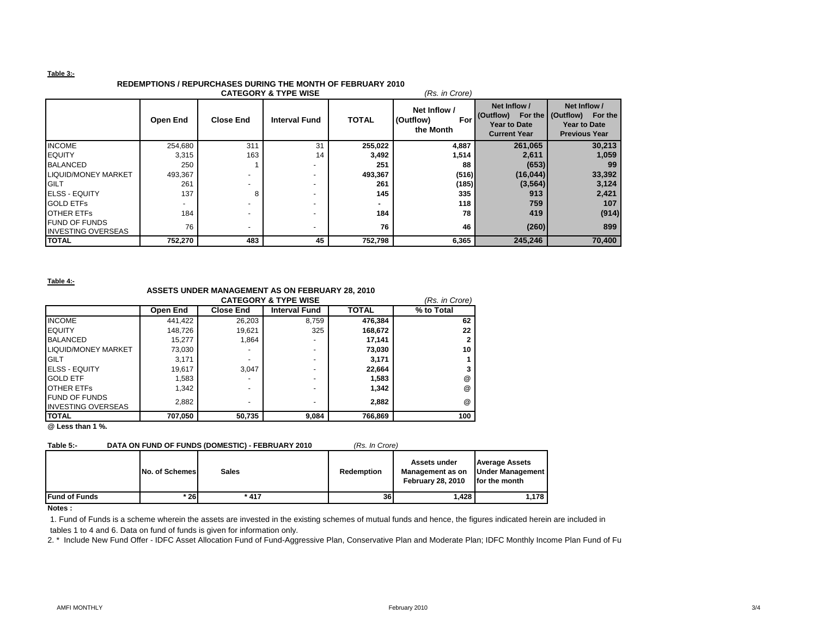#### **Table 3:-**

# **REDEMPTIONS / REPURCHASES DURING THE MONTH OF FEBRUARY 2010**

| <b>CATEGORY &amp; TYPE WISE</b><br>(Rs. in Crore) |                 |                          |                      |              |                                               |                                                                         |                                                                                               |  |  |
|---------------------------------------------------|-----------------|--------------------------|----------------------|--------------|-----------------------------------------------|-------------------------------------------------------------------------|-----------------------------------------------------------------------------------------------|--|--|
|                                                   | <b>Open End</b> | <b>Close End</b>         | <b>Interval Fund</b> | <b>TOTAL</b> | Net Inflow /<br>(Outflow)<br>For<br>the Month | Net Inflow /<br>(Outflow)<br><b>Year to Date</b><br><b>Current Year</b> | Net Inflow /<br>For the   (Outflow)<br>For the<br><b>Year to Date</b><br><b>Previous Year</b> |  |  |
| <b>INCOME</b>                                     | 254,680         | 311                      | 31                   | 255,022      | 4,887                                         | 261,065                                                                 | 30,213                                                                                        |  |  |
| <b>IEQUITY</b>                                    | 3,315           | 163                      | 14                   | 3,492        | 1,514                                         | 2,611                                                                   | 1,059                                                                                         |  |  |
| <b>BALANCED</b>                                   | 250             |                          |                      | 251          | 88                                            | (653)                                                                   | 99                                                                                            |  |  |
| <b>LIQUID/MONEY MARKET</b>                        | 493,367         |                          |                      | 493,367      | (516)                                         | (16, 044)                                                               | 33,392                                                                                        |  |  |
| <b>GILT</b>                                       | 261             | $\overline{\phantom{a}}$ |                      | 261          | (185)                                         | (3, 564)                                                                | 3,124                                                                                         |  |  |
| <b>IELSS - EQUITY</b>                             | 137             | 8                        |                      | 145          | 335                                           | 913                                                                     | 2,421                                                                                         |  |  |
| <b>GOLD ETFS</b>                                  |                 |                          |                      |              | 118                                           | 759                                                                     | 107                                                                                           |  |  |
| <b>OTHER ETFS</b>                                 | 184             | $\overline{\phantom{0}}$ |                      | 184          | 78                                            | 419                                                                     | (914)                                                                                         |  |  |
| <b>FUND OF FUNDS</b><br><b>INVESTING OVERSEAS</b> | 76              | ٠                        |                      | 76           | 46                                            | (260)                                                                   | 899                                                                                           |  |  |
| <b>TOTAL</b>                                      | 752,270         | 483                      | 45                   | 752,798      | 6,365                                         | 245,246                                                                 | 70,400                                                                                        |  |  |

**Table 4:-**

### **ASSETS UNDER MANAGEMENT AS ON FEBRUARY 28, 2010**

|                            | <b>CATEGORY &amp; TYPE WISE</b> |                  |                          |              |            |  |  |
|----------------------------|---------------------------------|------------------|--------------------------|--------------|------------|--|--|
|                            | Open End                        | <b>Close End</b> | <b>Interval Fund</b>     | <b>TOTAL</b> | % to Total |  |  |
| <b>INCOME</b>              | 441,422                         | 26,203           | 8.759                    | 476,384      | 62         |  |  |
| <b>EQUITY</b>              | 148,726                         | 19.621           | 325                      | 168,672      | 22         |  |  |
| <b>BALANCED</b>            | 15,277                          | 1.864            |                          | 17,141       |            |  |  |
| <b>LIQUID/MONEY MARKET</b> | 73,030                          |                  | $\overline{\phantom{0}}$ | 73,030       | 10         |  |  |
| <b>GILT</b>                | 3,171                           |                  | $\overline{\phantom{0}}$ | 3,171        |            |  |  |
| <b>ELSS - EQUITY</b>       | 19,617                          | 3.047            | $\overline{\phantom{0}}$ | 22,664       |            |  |  |
| <b>GOLD ETF</b>            | 1,583                           |                  | $\overline{\phantom{0}}$ | 1,583        | $^{\circ}$ |  |  |
| <b>OTHER ETFS</b>          | 1,342                           |                  |                          | 1,342        | $^{\circ}$ |  |  |
| <b>FUND OF FUNDS</b>       | 2,882                           | -                | $\overline{\phantom{0}}$ | 2,882        | $^{\circ}$ |  |  |
| <b>INVESTING OVERSEAS</b>  |                                 |                  |                          |              |            |  |  |
| <b>ITOTAL</b>              | 707,050                         | 50,735           | 9,084                    | 766.869      | 100        |  |  |

**@ Less than 1 %.**

#### **Table 5:- DATA ON FUND OF FUNDS (DOMESTIC) - FEBRUARY 2010** *(Rs. In Crore)*

|                      | No. of Schemes | <b>Sales</b> | Redemption | Assets under<br>Management as on<br><b>February 28, 2010</b> | <b>Average Assets</b><br><b>Under Management  </b><br>for the month |
|----------------------|----------------|--------------|------------|--------------------------------------------------------------|---------------------------------------------------------------------|
| <b>Fund of Funds</b> | * 26 l         | $*417$       | 36         | 1,428                                                        | 1,178                                                               |

**Notes :**

1. Fund of Funds is a scheme wherein the assets are invested in the existing schemes of mutual funds and hence, the figures indicated herein are included in tables 1 to 4 and 6. Data on fund of funds is given for information only.

2. \* Include New Fund Offer - IDFC Asset Allocation Fund of Fund-Aggressive Plan, Conservative Plan and Moderate Plan; IDFC Monthly Income Plan Fund of Fu